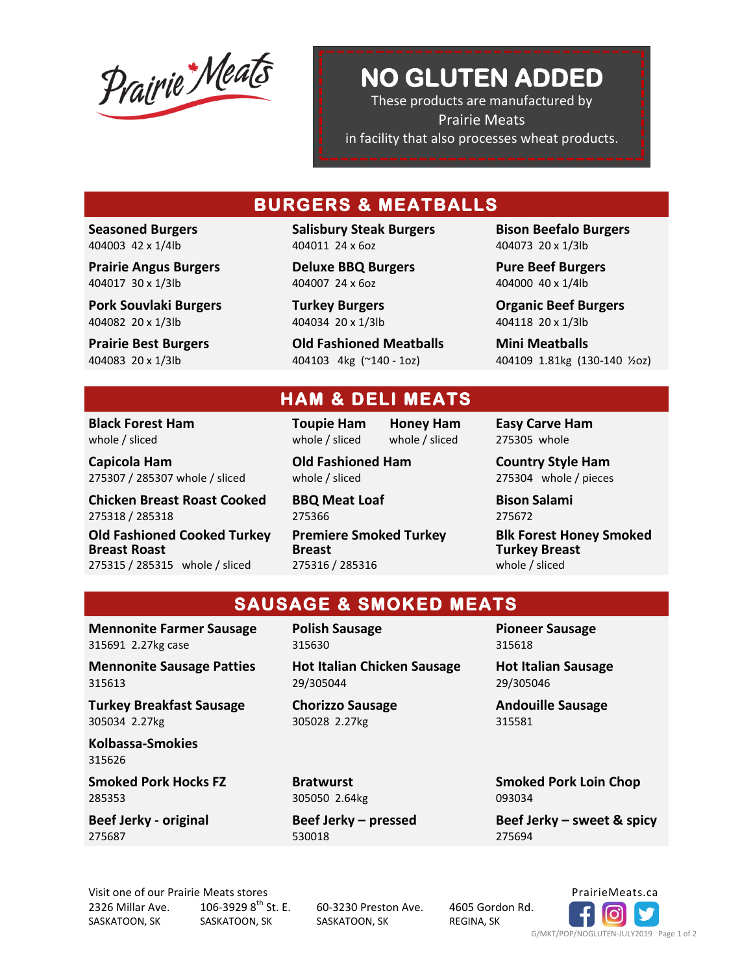Prairie Meats

## **NO GLUTEN ADDED**

**NO Gluten Added**  These products are manufactured by Prairie Meats in facility that also processes wheat products.

## **BURGERS & MEATBALLS**

**Seasoned Burgers** 404003 42 x 1/4lb

**Prairie Angus Burgers** 404017 30 x 1/3lb

**Pork Souvlaki Burgers** 404082 20 x 1/3lb

**Prairie Best Burgers** 404083 20 x 1/3lb

**Salisbury Steak Burgers** 404011 24 x 6oz

**Deluxe BBQ Burgers** 404007 24 x 6oz

**Turkey Burgers** 404034 20 x 1/3lb

**Old Fashioned Meatballs** 404103 4kg (~140 - 1oz)

**Bison Beefalo Burgers** 404073 20 x 1/3lb

**Pure Beef Burgers** 404000 40 x 1/4lb

**Organic Beef Burgers** 404118 20 x 1/3lb

**Mini Meatballs** 404109 1.81kg (130-140 ½oz)

#### **Black Forest Ham**  whole / sliced

**Capicola Ham** 275307 / 285307 whole / sliced

**Chicken Breast Roast Cooked** 275318 / 285318

**Old Fashioned Cooked Turkey Breast Roast**  275315 / 285315 whole / sliced

**Toupie Ham Honey Ham**

whole / sliced whole / sliced **Old Fashioned Ham**

**HAM & DELI MEATS** 

whole / sliced

**BBQ Meat Loaf** 275366

**Premiere Smoked Turkey Breast** 275316 / 285316

**Easy Carve Ham** 275305 whole

**Country Style Ham** 275304 whole / pieces

**Bison Salami** 275672

**Blk Forest Honey Smoked Turkey Breast** whole / sliced

### **SAUSAGE & SMOKED MEATS**

**Mennonite Farmer Sausage**  315691 2.27kg case

**Mennonite Sausage Patties** 315613

**Turkey Breakfast Sausage** 305034 2.27kg

**Kolbassa-Smokies**  315626

**Smoked Pork Hocks FZ** 285353

**Beef Jerky - original**  275687

**Polish Sausage** 315630

**Hot Italian Chicken Sausage** 29/305044

305028 2.27kg

**Bratwurst** 305050 2.64kg

530018

**Pioneer Sausage** 315618

**Hot Italian Sausage** 29/305046

**Andouille Sausage** 315581

**Smoked Pork Loin Chop** 093034

**Beef Jerky – sweet & spicy** 275694

Visit one of our Prairie Meats stores **PrairieMeats.ca** PrairieMeats.ca 2326 Millar Ave. SASKATOON, SK 106-3929  $8^{th}$  St. E. SASKATOON, SK

60-3230 Preston Ave. SASKATOON, SK

4605 Gordon Rd. REGINA, SK



**Chorizzo Sausage**

**Beef Jerky – pressed**